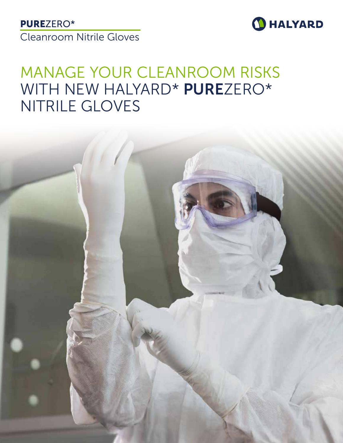# PUREZERO\*

Cleanroom Nitrile Gloves



# MANAGE YOUR CLEANROOM RISKS WITH NEW HALYARD\* PUREZERO\* NITRILE GLOVES

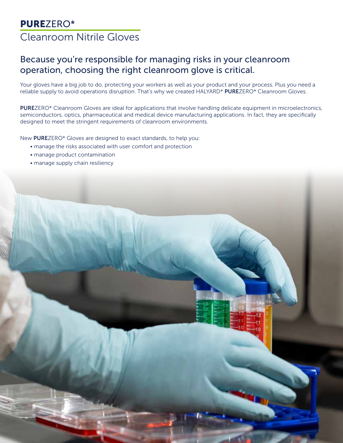### Because you're responsible for managing risks in your cleanroom operation, choosing the right cleanroom glove is critical.

Your gloves have a big job to do, protecting your workers as well as your product and your process. Plus you need a reliable supply to avoid operations disruption. That's why we created HALYARD\* PUREZERO\* Cleanroom Gloves.

PUREZERO\* Cleanroom Gloves are ideal for applications that involve handling delicate equipment in microelectronics, semiconductors, optics, pharmaceutical and medical device manufacturing applications. In fact, they are specifically designed to meet the stringent requirements of cleanroom environments.

New PUREZERO\* Gloves are designed to exact standards, to help you:

- manage the risks associated with user comfort and protection
- manage product contamination
- manage supply chain resiliency

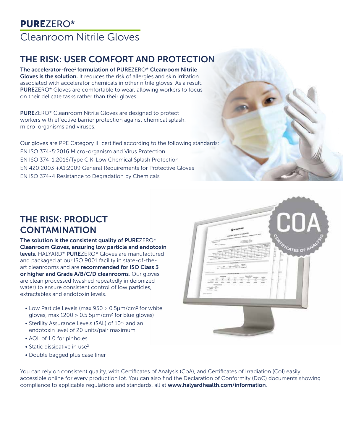# THE RISK: USER COMFORT AND PROTECTION

The accelerator-free<sup>1</sup> formulation of PUREZERO\* Cleanroom Nitrile Gloves is the solution. It reduces the risk of allergies and skin irritation associated with accelerator chemicals in other nitrile gloves. As a result, PUREZERO\* Gloves are comfortable to wear, allowing workers to focus on their delicate tasks rather than their gloves.

PUREZERO\* Cleanroom Nitrile Gloves are designed to protect workers with effective barrier protection against chemical splash, micro-organisms and viruses.

Our gloves are PPE Category III certified according to the following standards: EN ISO 374-5:2016 Micro-organism and Virus Protection EN ISO 374-1:2016/Type C K-Low Chemical Splash Protection EN 420:2003 +A1:2009 General Requirements for Protective Gloves EN ISO 374-4 Resistance to Degradation by Chemicals

# THE RISK: PRODUCT **CONTAMINATION**

The solution is the consistent quality of PUREZERO\* Cleanroom Gloves, ensuring low particle and endotoxin levels. HALYARD\* PUREZERO\* Gloves are manufactured and packaged at our ISO 9001 facility in state-of-theart cleanrooms and are recommended for ISO Class 3 or higher and Grade A/B/C/D cleanrooms. Our gloves are clean processed (washed repeatedly in deionized water) to ensure consistent control of low particles, extractables and endotoxin levels.

- Low Particle Levels (max 950 > 0.5µm/cm2 for white gloves, max  $1200 > 0.5$  5 $\mu$ m/cm<sup>2</sup> for blue gloves)
- Sterility Assurance Levels (SAL) of 10<sup>-6</sup> and an endotoxin level of 20 units/pair maximum
- AQL of 1.0 for pinholes
- Static dissipative in use<sup>2</sup>
- Double bagged plus case liner

ATES OF P

You can rely on consistent quality, with Certificates of Analysis (CoA), and Certificates of Irradiation (CoI) easily accessible online for every production lot. You can also find the Declaration of Conformity (DoC) documents showing compliance to applicable regulations and standards, all at www.halyardhealth.com/information.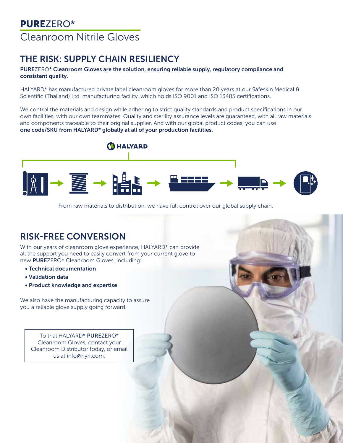# THE RISK: SUPPLY CHAIN RESILIENCY

#### PUREZERO\* Cleanroom Gloves are the solution, ensuring reliable supply, regulatory compliance and consistent quality.

HALYARD\* has manufactured private label cleanroom gloves for more than 20 years at our Safeskin Medical & Scientific (Thailand) Ltd. manufacturing facility, which holds ISO 9001 and ISO 13485 certifications.

We control the materials and design while adhering to strict quality standards and product specifications in our own facilities, with our own teammates. Quality and sterility assurance levels are guaranteed, with all raw materials and components traceable to their original supplier. And with our global product codes, you can use one code/SKU from HALYARD\* globally at all of your production facilities.



From raw materials to distribution, we have full control over our global supply chain.

### RISK-FREE CONVERSION

With our years of cleanroom glove experience, HALYARD\* can provide all the support you need to easily convert from your current glove to new PUREZERO\* Cleanroom Gloves, including:

- Technical documentation
- Validation data
- Product knowledge and expertise

We also have the manufacturing capacity to assure you a reliable glove supply going forward.

To trial HALYARD\* PUREZERO\* Cleanroom Gloves, contact your Cleanroom Distributor today, or email us at info@hyh.com.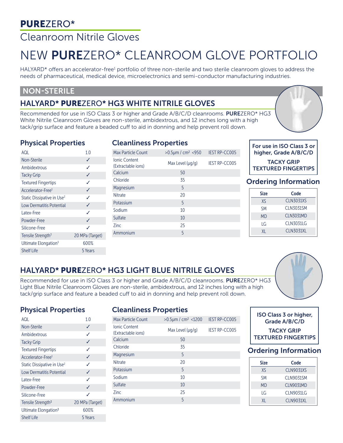# PUREZERO\*

# Cleanroom Nitrile Gloves

# NEW PUREZERO\* CLEANROOM GLOVE PORTFOLIO

HALYARD\* offers an accelerator-free<sup>1</sup> portfolio of three non-sterile and two sterile cleanroom gloves to address the needs of pharmaceutical, medical device, microelectronics and semi-conductor manufacturing industries.

#### NON-STERILE

### HALYARD\* PUREZERO\* HG3 WHITE NITRILE GLOVES

Recommended for use in ISO Class 3 or higher and Grade A/B/C/D cleanrooms. PUREZERO\* HG3 White Nitrile Cleanroom Gloves are non-sterile, ambidextrous, and 12 inches long with a high tack/grip surface and feature a beaded cuff to aid in donning and help prevent roll down.

#### Physical Properties

#### Cleanliness Properties

| 10              |
|-----------------|
| ✓               |
| ✓               |
| ✓               |
| ✓               |
| ✓               |
| ✓               |
| ✓               |
| ✓               |
| ✓               |
| ✓               |
| 20 MPa (Target) |
| 600%            |
| 5 Years         |
|                 |

| <b>CICALINITICSS LIPPULITICS</b>           |                           |                      |  |
|--------------------------------------------|---------------------------|----------------------|--|
| <b>Max Particle Count</b>                  | $>0.5 \mu m / cm^2 < 950$ | <b>IEST RP-CC005</b> |  |
| <b>Ionic Content</b><br>(Extractable ions) | Max Level $(\mu q/q)$     | <b>IEST RP-CC005</b> |  |
| Calcium                                    | 50                        |                      |  |
| Chloride                                   | 35                        |                      |  |
| Magnesium                                  | 5                         |                      |  |
| <b>Nitrate</b>                             | 20                        |                      |  |
| Potassium                                  | 5                         |                      |  |
| Sodium                                     | 10                        |                      |  |
| Sulfate                                    | 10                        |                      |  |
| <b>Zinc</b>                                | 25                        |                      |  |
| Ammonium                                   | 5                         |                      |  |

#### For use in ISO Class 3 or higher, Grade A/B/C/D TACKY GRIP TEXTURED FINGERTIPS

#### Ordering Information

| <b>Size</b> | Code             |
|-------------|------------------|
| XS          | <b>CLN3031XS</b> |
| SΜ          | CLN3031SM        |
| <b>MD</b>   | <b>CLN3031MD</b> |
| I G         | <b>CLN3031LG</b> |
| XI.         | <b>CLN3031XL</b> |

### HALYARD\* PUREZERO\* HG3 LIGHT BLUE NITRILE GLOVES

Recommended for use in ISO Class 3 or higher and Grade A/B/C/D cleanrooms. PUREZERO\* HG3 Light Blue Nitrile Cleanroom Gloves are non-sterile, ambidextrous, and 12 inches long with a high tack/grip surface and feature a beaded cuff to aid in donning and help prevent roll down.



#### Physical Properties

| <b>IOA</b>                             | 1 <sub>0</sub>  |
|----------------------------------------|-----------------|
| Non-Sterile                            | ✓               |
| Ambidextrous                           | ✓               |
| <b>Tacky Grip</b>                      | ✓               |
| <b>Textured Fingertips</b>             | ✓               |
| Accelerator-Free <sup>1</sup>          | ✓               |
| Static Dissipative in Use <sup>2</sup> | ✓               |
| Low Dermatitis Potential               | ✓               |
| Latex-Free                             | ✓               |
| Powder-Free                            | ✓               |
| Silicone-Free                          | ✓               |
| Tensile Strength <sup>3</sup>          | 20 MPa (Target) |
| Ultimate Elongation <sup>3</sup>       | 600%            |
| <b>Shelf Life</b>                      | 5 Years         |

#### Cleanliness Properties

| <b>Max Particle Count</b>                  | $>0.5 \mu m / cm^2 < 1200$ | <b>IEST RP-CC005</b> |
|--------------------------------------------|----------------------------|----------------------|
| <b>Ionic Content</b><br>(Extractable ions) | Max Level $(\mu q/q)$      | <b>IEST RP-CC005</b> |
| Calcium                                    | 50                         |                      |
| Chloride                                   | 35                         |                      |
| Magnesium                                  | 5                          |                      |
| <b>Nitrate</b>                             | 20                         |                      |
| Potassium                                  | 5                          |                      |
| Sodium                                     | 10                         |                      |
| Sulfate                                    | 10                         |                      |
| 7inc                                       | 25                         |                      |
| Ammonium                                   | 5                          |                      |



#### Ordering Information

| <b>Size</b> | Code             |
|-------------|------------------|
| XS          | <b>CLN9031XS</b> |
| <b>SM</b>   | <b>CLN9031SM</b> |
| MD          | <b>CLN9031MD</b> |
| ١G          | CLN9031LG        |
| XI.         | <b>CLN9031XL</b> |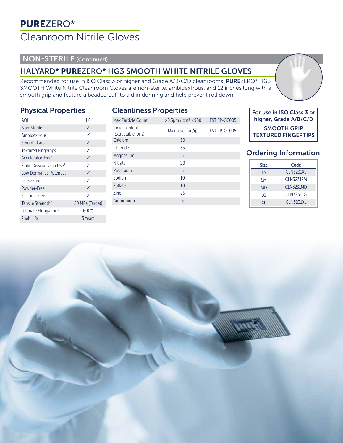#### NON-STERILE (Continued)

### HALYARD\* PUREZERO\* HG3 SMOOTH WHITE NITRILE GLOVES

Recommended for use in ISO Class 3 or higher and Grade A/B/C/D cleanrooms. PUREZERO\* HG3 SMOOTH White Nitrile Cleanroom Gloves are non-sterile, ambidextrous, and 12 inches long with a smooth grip and feature a beaded cuff to aid in donning and help prevent roll down.

Cleanliness Properties

#### Physical Properties

| AQL                                    | 1.0             |
|----------------------------------------|-----------------|
| <b>Non-Sterile</b>                     | ✓               |
| Ambidextrous                           | ✓               |
| Smooth Grip                            | ✓               |
| <b>Textured Fingertips</b>             | ✓               |
| Accelerator-Free <sup>1</sup>          | ✓               |
| Static Dissipative in Use <sup>2</sup> | ✓               |
| <b>Low Dermatitis Potential</b>        | ✓               |
| Latex-Free                             | ✓               |
| Powder-Free                            | ✓               |
| Silicone-Free                          | ✓               |
| Tensile Strength <sup>3</sup>          | 20 MPa (Target) |
| Ultimate Elongation <sup>3</sup>       | 600%            |
| <b>Shelf Life</b>                      | 5 Years         |

| <b>CICATILITICSS FTUPCI LICS</b>           |                           |                      |  |
|--------------------------------------------|---------------------------|----------------------|--|
| <b>Max Particle Count</b>                  | $>0.5 \mu m / cm^2 < 950$ | <b>IEST RP-CC005</b> |  |
| <b>Ionic Content</b><br>(Extractable ions) | Max Level $(\mu q/q)$     | <b>IEST RP-CC005</b> |  |
| Calcium                                    | 50                        |                      |  |
| Chloride                                   | 35                        |                      |  |
| Magnesium                                  | 5                         |                      |  |
| <b>Nitrate</b>                             | 20                        |                      |  |
| Potassium                                  | 5                         |                      |  |
| Sodium                                     | 10                        |                      |  |
| Sulfate                                    | 10                        |                      |  |
| <b>Zinc</b>                                | 25                        |                      |  |
| Ammonium                                   | 5                         |                      |  |
|                                            |                           |                      |  |

#### For use in ISO Class 3 or higher, Grade A/B/C/D

SMOOTH GRIP TEXTURED FINGERTIPS

#### Ordering Information

| <b>Size</b> | Code             |
|-------------|------------------|
| XS          | <b>CLN3231XS</b> |
| <b>SM</b>   | <b>CLN3231SM</b> |
| <b>MD</b>   | <b>CLN3231MD</b> |
| ١G          | <b>CLN3231LG</b> |
| XI.         | <b>CLN3231XL</b> |

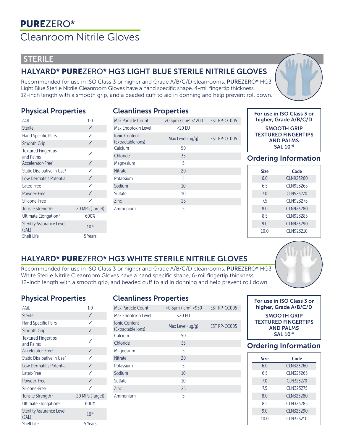#### **STERILE**

### HALYARD\* PUREZERO\* HG3 LIGHT BLUE STERILE NITRILE GLOVES

Recommended for use in ISO Class 3 or higher and Grade A/B/C/D cleanrooms. PUREZERO\* HG3 Light Blue Sterile Nitrile Cleanroom Gloves have a hand specific shape, 4-mil fingertip thickness, 12-inch length with a smooth grip, and a beaded cuff to aid in donning and help prevent roll down.

#### Physical Properties

| <b>Cleanliness Properties</b> |  |
|-------------------------------|--|
|                               |  |

| AQL                                       | 1.0             |
|-------------------------------------------|-----------------|
| <b>Sterile</b>                            | ✓               |
| <b>Hand Specific Pairs</b>                | ✓               |
| Smooth Grip                               | ✓               |
| <b>Textured Fingertips</b><br>and Palms   | ✓               |
| Accelerator-Free <sup>1</sup>             | ✓               |
| Static Dissipative in Use <sup>2</sup>    | ✓               |
| <b>Low Dermatitis Potential</b>           | ✓               |
| Latex-Free                                | ✓               |
| Powder-Free                               | ✓               |
| Silicone-Free                             | ✓               |
| Tensile Strength <sup>3</sup>             | 20 MPa (Target) |
| Ultimate Elongation <sup>3</sup>          | 600%            |
| <b>Sterility Assurance Level</b><br>(SAL) | $10^{-6}$       |
| <b>Shelf Life</b>                         | 5 Years         |

| Max Particle Count                         | $>0.5$ µm / cm <sup>2</sup> <1200 | <b>IEST RP-CC005</b> |
|--------------------------------------------|-----------------------------------|----------------------|
| Max Endotoxin Level                        | $<$ 20 EU                         |                      |
| <b>Ionic Content</b><br>(Extractable ions) | Max Level (µg/g)                  | <b>IEST RP-CC005</b> |
| Calcium                                    | 50                                |                      |
| Chloride                                   | 35                                |                      |
| Magnesium                                  | 5                                 |                      |
| <b>Nitrate</b>                             | 20                                |                      |
| Potassium                                  | 5                                 |                      |
| Sodium                                     | 10                                |                      |
| Sulfate                                    | 10                                |                      |
| <b>Zinc</b>                                | 25                                |                      |
| Ammonium                                   | 5                                 |                      |
|                                            |                                   |                      |
|                                            |                                   |                      |



SMOOTH GRIP TEXTURED FINGERTIPS AND PALMS SAL 10-6

#### Ordering Information

| <b>Size</b> | Code             |
|-------------|------------------|
| 6.0         | CLN923260        |
| 65          | CLN923265        |
| 70          | <b>CLN923270</b> |
| 75          | CLN923275        |
| 8.0         | CLN923280        |
| 85          | CLN923285        |
| 9.0         | <b>CLN923290</b> |
| 10.0        | CLN923210        |

### HALYARD\* PUREZERO\* HG3 WHITE STERILE NITRILE GLOVES

Recommended for use in ISO Class 3 or higher and Grade A/B/C/D cleanrooms. PUREZERO\* HG3 White Sterile Nitrile Cleanroom Gloves have a hand specific shape, 6-mil fingertip thickness, 12-inch length with a smooth grip, and beaded cuff to aid in donning and help prevent roll down.

#### Physical Properties

| AQL                                       | 1.0             |
|-------------------------------------------|-----------------|
| <b>Sterile</b>                            | ✓               |
| <b>Hand Specific Pairs</b>                | ✓               |
| <b>Smooth Grip</b>                        | ✓               |
| <b>Textured Fingertips</b><br>and Palms   | ✓               |
| Accelerator-Free <sup>1</sup>             | ✓               |
| Static Dissipative in Use <sup>2</sup>    | ✓               |
| <b>Low Dermatitis Potential</b>           | ✓               |
| Latex-Free                                | ✓               |
| Powder-Free                               | ✓               |
| Silicone-Free                             | ✓               |
| Tensile Strength <sup>3</sup>             | 20 MPa (Target) |
| Ultimate Elongation <sup>3</sup>          | 600%            |
| <b>Sterility Assurance Level</b><br>(SAL) | $10^{-6}$       |
| <b>Shelf Life</b>                         | 5 Years         |

#### Cleanliness Properties

| Max Particle Count                         | $>0.5 \mu m / cm^2 < 950$ | <b>IEST RP-CC005</b> |
|--------------------------------------------|---------------------------|----------------------|
| Max Endotoxin Level                        | $<$ 20 EU                 |                      |
| <b>Ionic Content</b><br>(Extractable ions) | Max Level $(\mu q/q)$     | <b>IEST RP-CC005</b> |
| Calcium                                    | 50                        |                      |
| Chloride                                   | 35                        |                      |
| Magnesium                                  | 5                         |                      |
| <b>Nitrate</b>                             | 20                        |                      |
| Potassium                                  | 5                         |                      |
| Sodium                                     | 10                        |                      |
| Sulfate                                    | 10                        |                      |
| <b>Zinc</b>                                | 25                        |                      |
| Ammonium                                   | 5                         |                      |



| For use in ISO Class 3 or<br>higher, Grade A/B/C/D |  |  |  |  |
|----------------------------------------------------|--|--|--|--|
| <b>SMOOTH GRIP</b><br><b>TEXTURED FINGERTIPS</b>   |  |  |  |  |
| <b>AND PALMS</b>                                   |  |  |  |  |
| SAL 10-6                                           |  |  |  |  |

#### Ordering Information

| <b>Size</b>     | Code      |
|-----------------|-----------|
| 60              | CLN323260 |
| 65              | CLN323265 |
| 70              | CLN323270 |
| 75              | CLN323275 |
| 80              | CLN323280 |
| 85              | CLN323285 |
| 9 O             | CLN323290 |
| 10 <sub>0</sub> | CLN323210 |